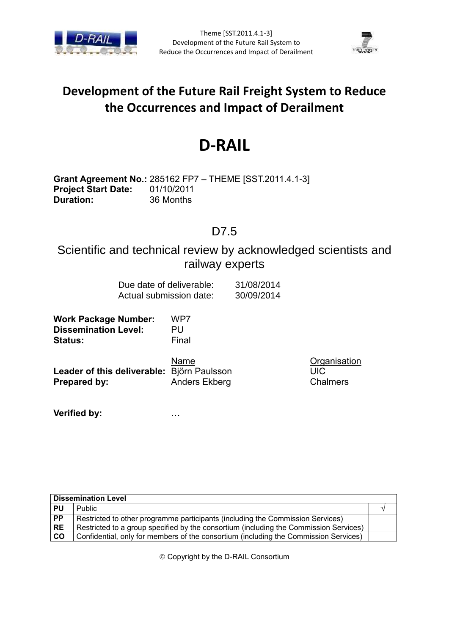



## **Development of the Future Rail Freight System to Reduce the Occurrences and Impact of Derailment**

# **D-RAIL**

**Grant Agreement No.:** 285162 FP7 – THEME [SST.2011.4.1-3] **Project Start Date:** 01/10/2011 **Duration:** 36 Months

#### D7.5

#### Scientific and technical review by acknowledged scientists and railway experts

| Due date of deliverable: | 31/08/2014 |
|--------------------------|------------|
| Actual submission date:  | 30/09/2014 |

**Work Package Number:** WP7 **Dissemination Level:** PU **Status:** Final

Name Organisation **Leader of this deliverable:** Björn Paulsson UIC **Prepared by:** Anders Ekberg Chalmers

**Verified by:** …

| <b>Dissemination Level</b> |                                                                                       |  |
|----------------------------|---------------------------------------------------------------------------------------|--|
| <b>PU</b>                  | <b>Public</b>                                                                         |  |
| $\overline{PP}$            | Restricted to other programme participants (including the Commission Services)        |  |
| <b>RE</b>                  | Restricted to a group specified by the consortium (including the Commission Services) |  |
| <b>CO</b>                  | Confidential, only for members of the consortium (including the Commission Services)  |  |

Copyright by the D-RAIL Consortium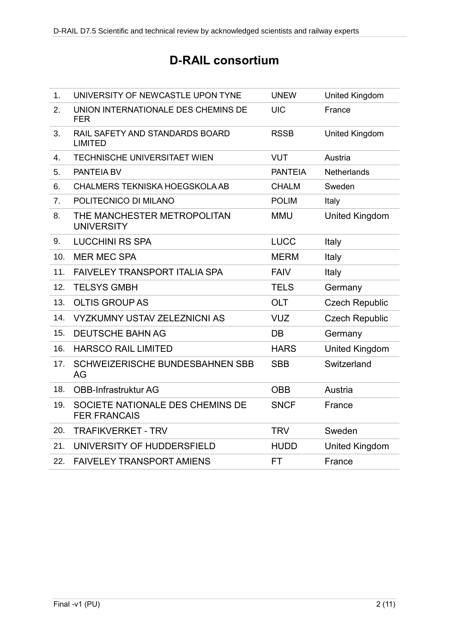## **D-RAIL consortium**

| 1.             | UNIVERSITY OF NEWCASTLE UPON TYNE                       | <b>UNEW</b>    | United Kingdom        |
|----------------|---------------------------------------------------------|----------------|-----------------------|
| 2.             | UNION INTERNATIONALE DES CHEMINS DE<br><b>FER</b>       | <b>UIC</b>     | France                |
| 3.             | RAIL SAFETY AND STANDARDS BOARD<br><b>LIMITED</b>       | <b>RSSB</b>    | United Kingdom        |
| 4.             | <b>TECHNISCHE UNIVERSITAET WIEN</b>                     | <b>VUT</b>     | Austria               |
| 5.             | PANTEIA BV                                              | <b>PANTEIA</b> | <b>Netherlands</b>    |
| 6.             | <b>CHALMERS TEKNISKA HOEGSKOLA AB</b>                   | <b>CHALM</b>   | Sweden                |
| 7 <sub>1</sub> | POLITECNICO DI MILANO                                   | <b>POLIM</b>   | Italy                 |
| 8.             | THE MANCHESTER METROPOLITAN<br><b>UNIVERSITY</b>        | <b>MMU</b>     | <b>United Kingdom</b> |
| 9.             | <b>LUCCHINI RS SPA</b>                                  | <b>LUCC</b>    | Italy                 |
| 10.            | <b>MER MEC SPA</b>                                      | <b>MERM</b>    | Italy                 |
| 11.            | <b>FAIVELEY TRANSPORT ITALIA SPA</b>                    | <b>FAIV</b>    | Italy                 |
| 12.            | <b>TELSYS GMBH</b>                                      | <b>TELS</b>    | Germany               |
| 13.            | <b>OLTIS GROUP AS</b>                                   | <b>OLT</b>     | <b>Czech Republic</b> |
| 14.            | <b>VYZKUMNY USTAV ZELEZNICNI AS</b>                     | <b>VUZ</b>     | <b>Czech Republic</b> |
| 15.            | <b>DEUTSCHE BAHN AG</b>                                 | DB             | Germany               |
| 16.            | <b>HARSCO RAIL LIMITED</b>                              | <b>HARS</b>    | <b>United Kingdom</b> |
| 17.            | <b>SCHWEIZERISCHE BUNDESBAHNEN SBB</b><br>AG            | <b>SBB</b>     | Switzerland           |
| 18.            | <b>OBB-Infrastruktur AG</b>                             | <b>OBB</b>     | Austria               |
| 19.            | SOCIETE NATIONALE DES CHEMINS DE<br><b>FER FRANCAIS</b> | <b>SNCF</b>    | France                |
| 20.            | <b>TRAFIKVERKET - TRV</b>                               | <b>TRV</b>     | Sweden                |
| 21.            | UNIVERSITY OF HUDDERSFIELD                              | <b>HUDD</b>    | <b>United Kingdom</b> |
| 22.            | <b>FAIVELEY TRANSPORT AMIENS</b>                        | FT             | France                |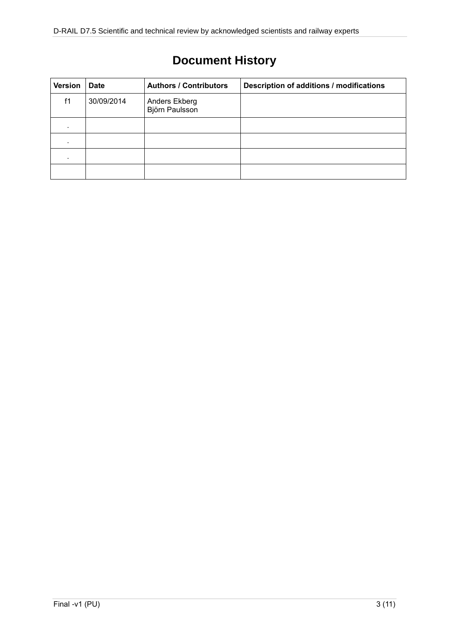# **Document History**

| <b>Version</b> | <b>Date</b> | <b>Authors / Contributors</b>   | Description of additions / modifications |
|----------------|-------------|---------------------------------|------------------------------------------|
| f1             | 30/09/2014  | Anders Ekberg<br>Björn Paulsson |                                          |
| ٠              |             |                                 |                                          |
|                |             |                                 |                                          |
|                |             |                                 |                                          |
|                |             |                                 |                                          |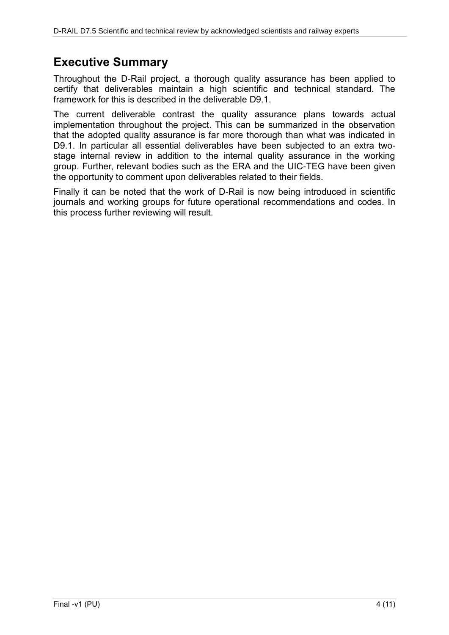### <span id="page-3-0"></span>**Executive Summary**

Throughout the D-Rail project, a thorough quality assurance has been applied to certify that deliverables maintain a high scientific and technical standard. The framework for this is described in the deliverable D9.1.

The current deliverable contrast the quality assurance plans towards actual implementation throughout the project. This can be summarized in the observation that the adopted quality assurance is far more thorough than what was indicated in D9.1. In particular all essential deliverables have been subjected to an extra twostage internal review in addition to the internal quality assurance in the working group. Further, relevant bodies such as the ERA and the UIC-TEG have been given the opportunity to comment upon deliverables related to their fields.

Finally it can be noted that the work of D-Rail is now being introduced in scientific journals and working groups for future operational recommendations and codes. In this process further reviewing will result.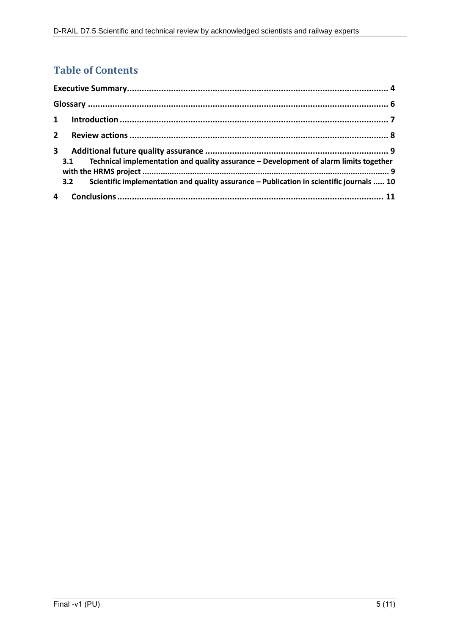#### **Table of Contents**

| $2^{\circ}$ |                                                                                                                                                                                                 |  |
|-------------|-------------------------------------------------------------------------------------------------------------------------------------------------------------------------------------------------|--|
| 3           | Technical implementation and quality assurance - Development of alarm limits together<br>3.1<br>Scientific implementation and quality assurance - Publication in scientific journals  10<br>3.2 |  |
|             |                                                                                                                                                                                                 |  |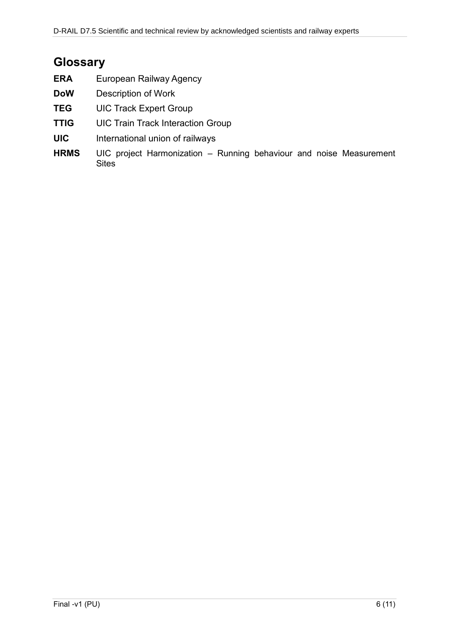### <span id="page-5-0"></span>**Glossary**

| <b>ERA</b> | European Railway Agency |
|------------|-------------------------|
|------------|-------------------------|

- **DoW** Description of Work
- **TEG** UIC Track Expert Group
- **TTIG** UIC Train Track Interaction Group
- **UIC** International union of railways
- **HRMS** UIC project Harmonization Running behaviour and noise Measurement **Sites**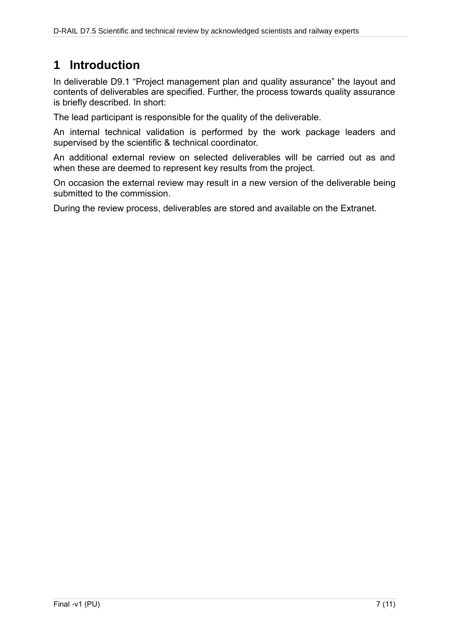### <span id="page-6-0"></span>**1 Introduction**

In deliverable D9.1 "Project management plan and quality assurance" the layout and contents of deliverables are specified. Further, the process towards quality assurance is briefly described. In short:

The lead participant is responsible for the quality of the deliverable.

An internal technical validation is performed by the work package leaders and supervised by the scientific & technical coordinator.

An additional external review on selected deliverables will be carried out as and when these are deemed to represent key results from the project.

On occasion the external review may result in a new version of the deliverable being submitted to the commission.

During the review process, deliverables are stored and available on the Extranet.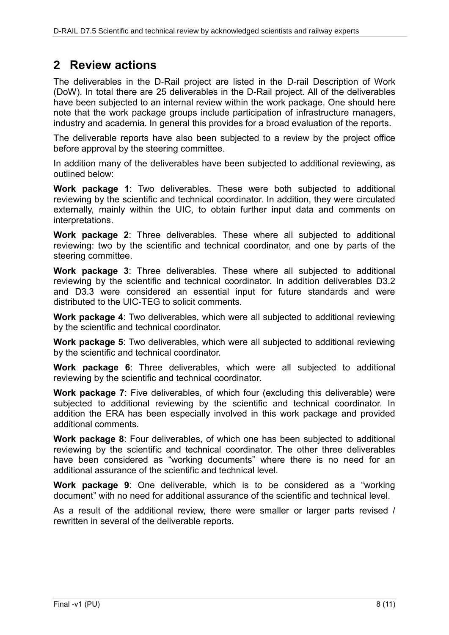#### <span id="page-7-0"></span>**2 Review actions**

The deliverables in the D-Rail project are listed in the D-rail Description of Work (DoW). In total there are 25 deliverables in the D-Rail project. All of the deliverables have been subjected to an internal review within the work package. One should here note that the work package groups include participation of infrastructure managers, industry and academia. In general this provides for a broad evaluation of the reports.

The deliverable reports have also been subjected to a review by the project office before approval by the steering committee.

In addition many of the deliverables have been subjected to additional reviewing, as outlined below:

**Work package 1**: Two deliverables. These were both subjected to additional reviewing by the scientific and technical coordinator. In addition, they were circulated externally, mainly within the UIC, to obtain further input data and comments on interpretations.

**Work package 2**: Three deliverables. These where all subjected to additional reviewing: two by the scientific and technical coordinator, and one by parts of the steering committee.

**Work package 3**: Three deliverables. These where all subjected to additional reviewing by the scientific and technical coordinator. In addition deliverables D3.2 and D3.3 were considered an essential input for future standards and were distributed to the UIC-TEG to solicit comments.

**Work package 4**: Two deliverables, which were all subjected to additional reviewing by the scientific and technical coordinator.

**Work package 5**: Two deliverables, which were all subjected to additional reviewing by the scientific and technical coordinator.

**Work package 6**: Three deliverables, which were all subjected to additional reviewing by the scientific and technical coordinator.

**Work package 7**: Five deliverables, of which four (excluding this deliverable) were subjected to additional reviewing by the scientific and technical coordinator. In addition the ERA has been especially involved in this work package and provided additional comments.

**Work package 8**: Four deliverables, of which one has been subjected to additional reviewing by the scientific and technical coordinator. The other three deliverables have been considered as "working documents" where there is no need for an additional assurance of the scientific and technical level.

**Work package 9**: One deliverable, which is to be considered as a "working document" with no need for additional assurance of the scientific and technical level.

As a result of the additional review, there were smaller or larger parts revised / rewritten in several of the deliverable reports.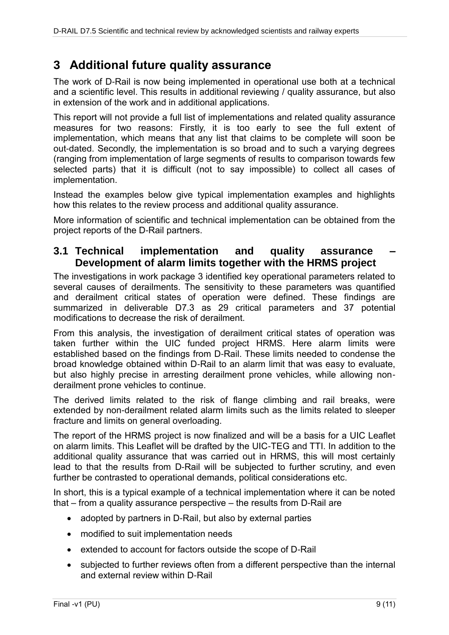#### <span id="page-8-0"></span>**3 Additional future quality assurance**

The work of D-Rail is now being implemented in operational use both at a technical and a scientific level. This results in additional reviewing / quality assurance, but also in extension of the work and in additional applications.

This report will not provide a full list of implementations and related quality assurance measures for two reasons: Firstly, it is too early to see the full extent of implementation, which means that any list that claims to be complete will soon be out-dated. Secondly, the implementation is so broad and to such a varying degrees (ranging from implementation of large segments of results to comparison towards few selected parts) that it is difficult (not to say impossible) to collect all cases of implementation.

Instead the examples below give typical implementation examples and highlights how this relates to the review process and additional quality assurance.

More information of scientific and technical implementation can be obtained from the project reports of the D-Rail partners.

#### <span id="page-8-1"></span>**3.1 Technical implementation and quality assurance – Development of alarm limits together with the HRMS project**

The investigations in work package 3 identified key operational parameters related to several causes of derailments. The sensitivity to these parameters was quantified and derailment critical states of operation were defined. These findings are summarized in deliverable D7.3 as 29 critical parameters and 37 potential modifications to decrease the risk of derailment.

From this analysis, the investigation of derailment critical states of operation was taken further within the UIC funded project HRMS. Here alarm limits were established based on the findings from D-Rail. These limits needed to condense the broad knowledge obtained within D-Rail to an alarm limit that was easy to evaluate, but also highly precise in arresting derailment prone vehicles, while allowing nonderailment prone vehicles to continue.

The derived limits related to the risk of flange climbing and rail breaks, were extended by non-derailment related alarm limits such as the limits related to sleeper fracture and limits on general overloading.

The report of the HRMS project is now finalized and will be a basis for a UIC Leaflet on alarm limits. This Leaflet will be drafted by the UIC-TEG and TTI. In addition to the additional quality assurance that was carried out in HRMS, this will most certainly lead to that the results from D-Rail will be subjected to further scrutiny, and even further be contrasted to operational demands, political considerations etc.

In short, this is a typical example of a technical implementation where it can be noted that – from a quality assurance perspective – the results from D-Rail are

- adopted by partners in D-Rail, but also by external parties
- modified to suit implementation needs
- extended to account for factors outside the scope of D-Rail
- subjected to further reviews often from a different perspective than the internal and external review within D-Rail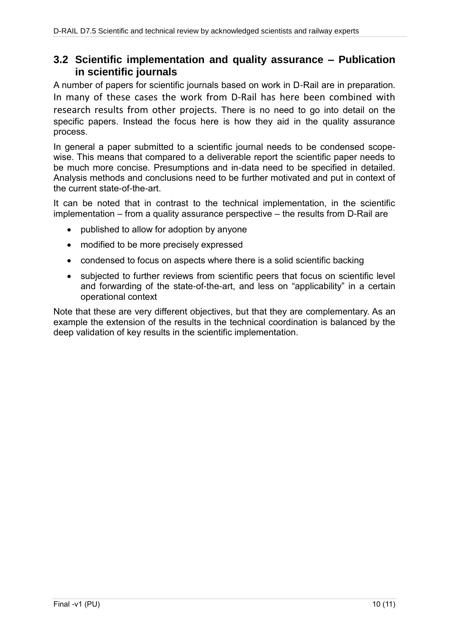#### <span id="page-9-0"></span>**3.2 Scientific implementation and quality assurance – Publication in scientific journals**

A number of papers for scientific journals based on work in D-Rail are in preparation. In many of these cases the work from D-Rail has here been combined with research results from other projects. There is no need to go into detail on the specific papers. Instead the focus here is how they aid in the quality assurance process.

In general a paper submitted to a scientific journal needs to be condensed scopewise. This means that compared to a deliverable report the scientific paper needs to be much more concise. Presumptions and in-data need to be specified in detailed. Analysis methods and conclusions need to be further motivated and put in context of the current state-of-the-art.

It can be noted that in contrast to the technical implementation, in the scientific implementation – from a quality assurance perspective – the results from D-Rail are

- published to allow for adoption by anyone
- modified to be more precisely expressed
- condensed to focus on aspects where there is a solid scientific backing
- subjected to further reviews from scientific peers that focus on scientific level and forwarding of the state-of-the-art, and less on "applicability" in a certain operational context

Note that these are very different objectives, but that they are complementary. As an example the extension of the results in the technical coordination is balanced by the deep validation of key results in the scientific implementation.